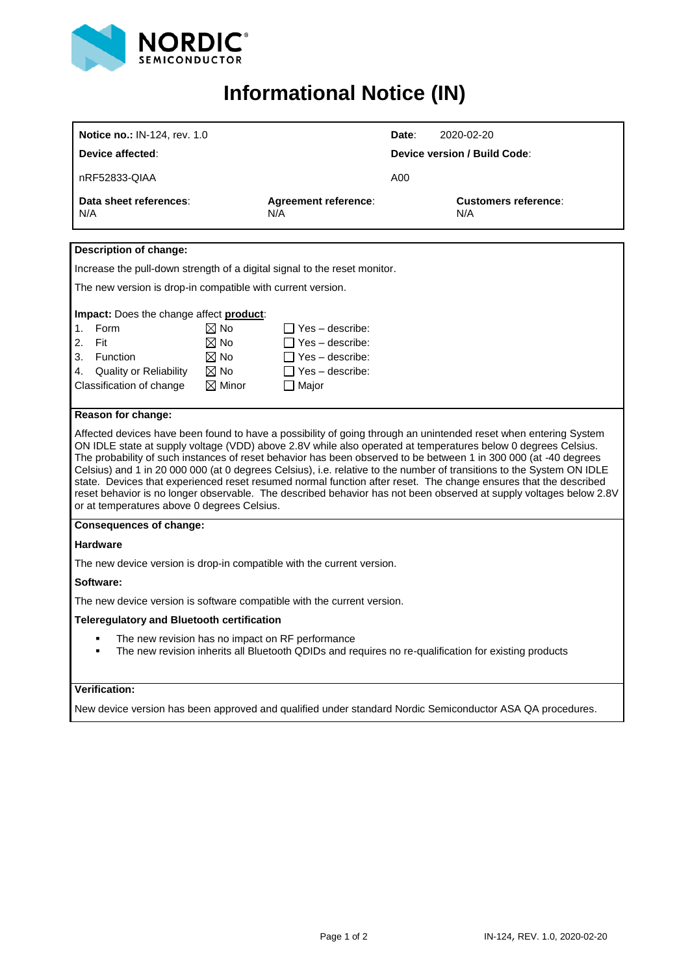

## <span id="page-0-2"></span><span id="page-0-1"></span>**Informational Notice (IN)**

<span id="page-0-0"></span>

| Device affected:<br><b>Device version / Build Code:</b><br>nRF52833-QIAA<br>A00<br>Data sheet references:<br><b>Agreement reference:</b><br>Customers reference:<br>N/A<br>N/A<br>N/A<br><b>Description of change:</b><br>Increase the pull-down strength of a digital signal to the reset monitor.<br>The new version is drop-in compatible with current version.<br>Impact: Does the change affect product:<br>Form<br>$\boxtimes$ No<br>$\Box$ Yes - describe:<br>1.<br>$\boxtimes$ No<br>2.<br>Fit<br>$\Box$ Yes – describe:<br>$\boxtimes$ No<br>3.<br>Function<br>$\Box$ Yes – describe:<br>$\boxtimes$ No<br><b>Quality or Reliability</b><br>$\Box$ Yes – describe:<br>4.<br>Classification of change<br>$\boxtimes$ Minor<br>$\Box$ Major<br>Reason for change:<br>Affected devices have been found to have a possibility of going through an unintended reset when entering System<br>ON IDLE state at supply voltage (VDD) above 2.8V while also operated at temperatures below 0 degrees Celsius.<br>The probability of such instances of reset behavior has been observed to be between 1 in 300 000 (at -40 degrees<br>Celsius) and 1 in 20 000 000 (at 0 degrees Celsius), i.e. relative to the number of transitions to the System ON IDLE<br>state. Devices that experienced reset resumed normal function after reset. The change ensures that the described<br>reset behavior is no longer observable. The described behavior has not been observed at supply voltages below 2.8V<br>or at temperatures above 0 degrees Celsius.<br><b>Consequences of change:</b><br><b>Hardware</b><br>The new device version is drop-in compatible with the current version.<br>Software:<br>The new device version is software compatible with the current version.<br><b>Teleregulatory and Bluetooth certification</b><br>The new revision has no impact on RF performance<br>The new revision inherits all Bluetooth QDIDs and requires no re-qualification for existing products<br>$\blacksquare$ | Notice no.: IN-124, rev. 1.0 |  | Date:<br>2020-02-20 |  |  |  |  |
|---------------------------------------------------------------------------------------------------------------------------------------------------------------------------------------------------------------------------------------------------------------------------------------------------------------------------------------------------------------------------------------------------------------------------------------------------------------------------------------------------------------------------------------------------------------------------------------------------------------------------------------------------------------------------------------------------------------------------------------------------------------------------------------------------------------------------------------------------------------------------------------------------------------------------------------------------------------------------------------------------------------------------------------------------------------------------------------------------------------------------------------------------------------------------------------------------------------------------------------------------------------------------------------------------------------------------------------------------------------------------------------------------------------------------------------------------------------------------------------------------------------------------------------------------------------------------------------------------------------------------------------------------------------------------------------------------------------------------------------------------------------------------------------------------------------------------------------------------------------------------------------------------------------------------------------------------------------------------------------------------------------|------------------------------|--|---------------------|--|--|--|--|
|                                                                                                                                                                                                                                                                                                                                                                                                                                                                                                                                                                                                                                                                                                                                                                                                                                                                                                                                                                                                                                                                                                                                                                                                                                                                                                                                                                                                                                                                                                                                                                                                                                                                                                                                                                                                                                                                                                                                                                                                               |                              |  |                     |  |  |  |  |
|                                                                                                                                                                                                                                                                                                                                                                                                                                                                                                                                                                                                                                                                                                                                                                                                                                                                                                                                                                                                                                                                                                                                                                                                                                                                                                                                                                                                                                                                                                                                                                                                                                                                                                                                                                                                                                                                                                                                                                                                               |                              |  |                     |  |  |  |  |
|                                                                                                                                                                                                                                                                                                                                                                                                                                                                                                                                                                                                                                                                                                                                                                                                                                                                                                                                                                                                                                                                                                                                                                                                                                                                                                                                                                                                                                                                                                                                                                                                                                                                                                                                                                                                                                                                                                                                                                                                               |                              |  |                     |  |  |  |  |
|                                                                                                                                                                                                                                                                                                                                                                                                                                                                                                                                                                                                                                                                                                                                                                                                                                                                                                                                                                                                                                                                                                                                                                                                                                                                                                                                                                                                                                                                                                                                                                                                                                                                                                                                                                                                                                                                                                                                                                                                               |                              |  |                     |  |  |  |  |
|                                                                                                                                                                                                                                                                                                                                                                                                                                                                                                                                                                                                                                                                                                                                                                                                                                                                                                                                                                                                                                                                                                                                                                                                                                                                                                                                                                                                                                                                                                                                                                                                                                                                                                                                                                                                                                                                                                                                                                                                               |                              |  |                     |  |  |  |  |
|                                                                                                                                                                                                                                                                                                                                                                                                                                                                                                                                                                                                                                                                                                                                                                                                                                                                                                                                                                                                                                                                                                                                                                                                                                                                                                                                                                                                                                                                                                                                                                                                                                                                                                                                                                                                                                                                                                                                                                                                               |                              |  |                     |  |  |  |  |
|                                                                                                                                                                                                                                                                                                                                                                                                                                                                                                                                                                                                                                                                                                                                                                                                                                                                                                                                                                                                                                                                                                                                                                                                                                                                                                                                                                                                                                                                                                                                                                                                                                                                                                                                                                                                                                                                                                                                                                                                               |                              |  |                     |  |  |  |  |
|                                                                                                                                                                                                                                                                                                                                                                                                                                                                                                                                                                                                                                                                                                                                                                                                                                                                                                                                                                                                                                                                                                                                                                                                                                                                                                                                                                                                                                                                                                                                                                                                                                                                                                                                                                                                                                                                                                                                                                                                               |                              |  |                     |  |  |  |  |
|                                                                                                                                                                                                                                                                                                                                                                                                                                                                                                                                                                                                                                                                                                                                                                                                                                                                                                                                                                                                                                                                                                                                                                                                                                                                                                                                                                                                                                                                                                                                                                                                                                                                                                                                                                                                                                                                                                                                                                                                               |                              |  |                     |  |  |  |  |
|                                                                                                                                                                                                                                                                                                                                                                                                                                                                                                                                                                                                                                                                                                                                                                                                                                                                                                                                                                                                                                                                                                                                                                                                                                                                                                                                                                                                                                                                                                                                                                                                                                                                                                                                                                                                                                                                                                                                                                                                               |                              |  |                     |  |  |  |  |
|                                                                                                                                                                                                                                                                                                                                                                                                                                                                                                                                                                                                                                                                                                                                                                                                                                                                                                                                                                                                                                                                                                                                                                                                                                                                                                                                                                                                                                                                                                                                                                                                                                                                                                                                                                                                                                                                                                                                                                                                               |                              |  |                     |  |  |  |  |
|                                                                                                                                                                                                                                                                                                                                                                                                                                                                                                                                                                                                                                                                                                                                                                                                                                                                                                                                                                                                                                                                                                                                                                                                                                                                                                                                                                                                                                                                                                                                                                                                                                                                                                                                                                                                                                                                                                                                                                                                               |                              |  |                     |  |  |  |  |
|                                                                                                                                                                                                                                                                                                                                                                                                                                                                                                                                                                                                                                                                                                                                                                                                                                                                                                                                                                                                                                                                                                                                                                                                                                                                                                                                                                                                                                                                                                                                                                                                                                                                                                                                                                                                                                                                                                                                                                                                               |                              |  |                     |  |  |  |  |
|                                                                                                                                                                                                                                                                                                                                                                                                                                                                                                                                                                                                                                                                                                                                                                                                                                                                                                                                                                                                                                                                                                                                                                                                                                                                                                                                                                                                                                                                                                                                                                                                                                                                                                                                                                                                                                                                                                                                                                                                               |                              |  |                     |  |  |  |  |
|                                                                                                                                                                                                                                                                                                                                                                                                                                                                                                                                                                                                                                                                                                                                                                                                                                                                                                                                                                                                                                                                                                                                                                                                                                                                                                                                                                                                                                                                                                                                                                                                                                                                                                                                                                                                                                                                                                                                                                                                               |                              |  |                     |  |  |  |  |
|                                                                                                                                                                                                                                                                                                                                                                                                                                                                                                                                                                                                                                                                                                                                                                                                                                                                                                                                                                                                                                                                                                                                                                                                                                                                                                                                                                                                                                                                                                                                                                                                                                                                                                                                                                                                                                                                                                                                                                                                               |                              |  |                     |  |  |  |  |
| Verification:                                                                                                                                                                                                                                                                                                                                                                                                                                                                                                                                                                                                                                                                                                                                                                                                                                                                                                                                                                                                                                                                                                                                                                                                                                                                                                                                                                                                                                                                                                                                                                                                                                                                                                                                                                                                                                                                                                                                                                                                 |                              |  |                     |  |  |  |  |
| New device version has been approved and qualified under standard Nordic Semiconductor ASA QA procedures.                                                                                                                                                                                                                                                                                                                                                                                                                                                                                                                                                                                                                                                                                                                                                                                                                                                                                                                                                                                                                                                                                                                                                                                                                                                                                                                                                                                                                                                                                                                                                                                                                                                                                                                                                                                                                                                                                                     |                              |  |                     |  |  |  |  |